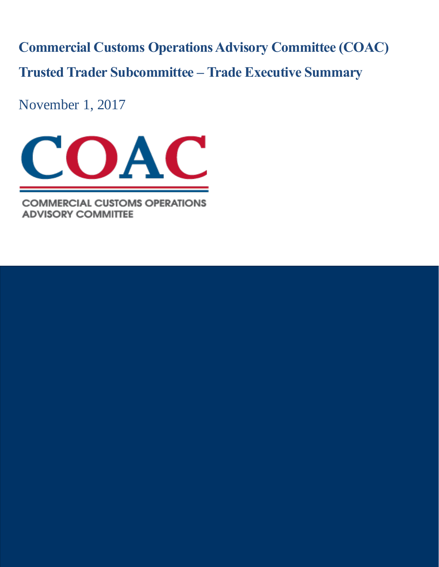**Commercial Customs Operations Advisory Committee (COAC) Trusted Trader Subcommittee – Trade Executive Summary**

November 1, 2017



**COMMERCIAL CUSTOMS OPERATIONS ADVISORY COMMITTEE**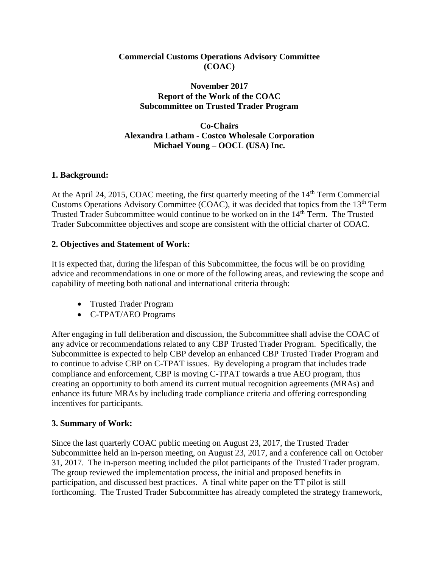### **Commercial Customs Operations Advisory Committee (COAC)**

### **November 2017 Report of the Work of the COAC Subcommittee on Trusted Trader Program**

## **Co-Chairs Alexandra Latham - Costco Wholesale Corporation Michael Young – OOCL (USA) Inc.**

## **1. Background:**

At the April 24, 2015, COAC meeting, the first quarterly meeting of the  $14<sup>th</sup>$  Term Commercial Customs Operations Advisory Committee (COAC), it was decided that topics from the  $13<sup>th</sup>$  Term Trusted Trader Subcommittee would continue to be worked on in the 14<sup>th</sup> Term. The Trusted Trader Subcommittee objectives and scope are consistent with the official charter of COAC.

## **2. Objectives and Statement of Work:**

It is expected that, during the lifespan of this Subcommittee, the focus will be on providing advice and recommendations in one or more of the following areas, and reviewing the scope and capability of meeting both national and international criteria through:

- Trusted Trader Program
- C-TPAT/AEO Programs

After engaging in full deliberation and discussion, the Subcommittee shall advise the COAC of any advice or recommendations related to any CBP Trusted Trader Program. Specifically, the Subcommittee is expected to help CBP develop an enhanced CBP Trusted Trader Program and to continue to advise CBP on C-TPAT issues. By developing a program that includes trade compliance and enforcement, CBP is moving C-TPAT towards a true AEO program, thus creating an opportunity to both amend its current mutual recognition agreements (MRAs) and enhance its future MRAs by including trade compliance criteria and offering corresponding incentives for participants.

### **3. Summary of Work:**

Since the last quarterly COAC public meeting on August 23, 2017, the Trusted Trader Subcommittee held an in-person meeting, on August 23, 2017, and a conference call on October 31, 2017. The in-person meeting included the pilot participants of the Trusted Trader program. The group reviewed the implementation process, the initial and proposed benefits in participation, and discussed best practices. A final white paper on the TT pilot is still forthcoming. The Trusted Trader Subcommittee has already completed the strategy framework,